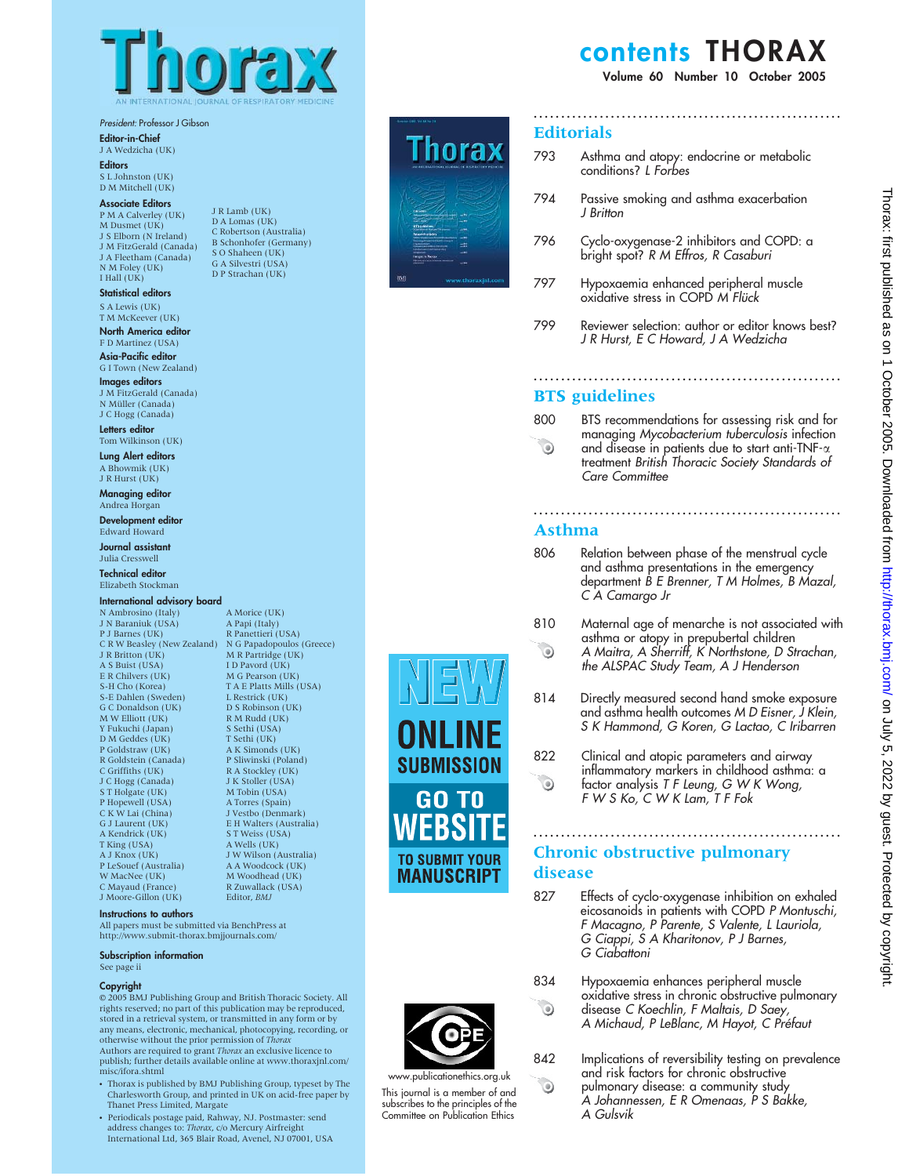

J R Lamb (UK) D A Lomas (UK) C Robertson (Australia) B Schonhofer (Germany) S O Shaheen (UK) G A Silvestri (USA) D P Strachan (UK)

President: Professor J Gibson

Editor-in-Chief

J A Wedzicha (UK) **Editors** 

S L Johnston (UK) D M Mitchell (UK)

#### Associate Editors

P M A Calverley (UK) M Dusmet (UK) J S Elborn (N Ireland) J M FitzGerald (Canada) J A Fleetham (Canada) N M Foley (UK) I Hall (UK)

#### Statistical editors S A Lewis (UK)

T M McKeever (UK) North America editor

F D Martinez (USA) Asia-Pacific editor

G I Town (New Zealand) Images editors J M FitzGerald (Canada)

N Müller (Canada) J C Hogg (Canada)

Letters editor Tom Wilkinson (UK)

Lung Alert editors A Bhowmik (UK) J R Hurst (UK)

Managing editor Andrea Horgan

Development editor Edward Howard Journal assistant Julia Cresswell

Technical editor Elizabeth Stockman

#### International advisory board

N Ambrosino (Italy) J N Baraniuk (USA) P J Barnes (UK) C R W Beasley (New Zealand) J R Britton (UK) N G Papadopoulos (Greece) M R Partridge (UK) A S Buist (USA) E R Chilvers (UK) S-H Cho (Korea) S-E Dahlen (Sweden) G C Donaldson (UK) M W Elliott (UK) Y Fukuchi (Japan) D M Geddes (UK) P Goldstraw (UK) R Goldstein (Canada) C Griffiths (UK) J C Hogg (Canada) S T Holgate (UK) P Hopewell (USA) C K W Lai (China) G J Laurent (UK) A Kendrick (UK) T King (USA) A J Knox (UK) P LeSouef (Australia) W MacNee (UK) C Mayaud (France) J Moore-Gillon (UK)

A Morice (UK) A Papi (Italy) R Panettieri (USA) I D Pavord (UK) M G Pearson (UK) T A E Platts Mills (USA) L Restrick (UK) D S Robinson (UK) R M Rudd (UK) S Sethi (USA) T Sethi (UK) A K Simonds (UK) P Sliwinski (Poland) R A Stockley (UK) J K Stoller (USA) M Tobin (USA) A Torres (Spain) J Vestbo (Denmark) E H Walters (Australia) S T Weiss (USA) A Wells (UK) J W Wilson (Australia) A A Woodcock (UK) M Woodhead (UK) R Zuwallack (USA) Editor, BMJ

#### Instructions to authors

All papers must be submitted via BenchPress at http://www.submit-thorax.bmjjournals.com/

#### Subscription information

See page ii

#### Copyright

E 2005 BMJ Publishing Group and British Thoracic Society. All rights reserved; no part of this publication may be reproduced, stored in a retrieval system, or transmitted in any form or by any means, electronic, mechanical, photocopying, recording, or otherwise without the prior permission of *Thorax*<br>Authors are required to grant *Thorax* an exclusive licence to

publish; further details available online at www.thoraxjnl.com/ misc/ifora.shtml

- Thorax is published by BMJ Publishing Group, typeset by The Charlesworth Group, and printed in UK on acid-free paper by Thanet Press Limited, Margate
- Periodicals postage paid, Rahway, NJ. Postmaster: send address changes to: *Thorax, c/*o Mercury Airfreight<br>International Ltd, 365 Blair Road, Avenel, NJ 07001, USA



## contents THORAX

Volume 60 Number 10 October 2005

#### **Editorials**

793 Asthma and atopy: endocrine or metabolic conditions? L Forbes

........................................................

- 794 Passive smoking and asthma exacerbation J Britton
- 796 Cyclo-oxygenase-2 inhibitors and COPD: a bright spot? R M Effros, R Casaburi
- 797 Hypoxaemia enhanced peripheral muscle oxidative stress in COPD *M Flück*
- 799 Reviewer selection: author or editor knows best? J R Hurst, E C Howard, J A Wedzicha

........................................................

### BTS guidelines

800 BTS recommendations for assessing risk and for managing Mycobacterium tuberculosis infection  $\bullet$ and disease in patients due to start anti-TNF- $\alpha$ treatment British Thoracic Society Standards of Care Committee

## Asthma

806 Relation between phase of the menstrual cycle and asthma presentations in the emergency department B E Brenner, T M Holmes, B Mazal, C A Camargo Jr

........................................................

- 810 Maternal age of menarche is not associated with asthma or atopy in prepubertal children  $\odot$ A Maitra, A Sherriff, K Northstone, D Strachan, the ALSPAC Study Team, A J Henderson
- 814 Directly measured second hand smoke exposure and asthma health outcomes M D Eisner, J Klein, S K Hammond, G Koren, G Lactao, C Iribarren
- 822 Clinical and atopic parameters and airway inflammatory markers in childhood asthma: a  $\odot$ factor analysis T F Leung, G W K Wong, F W S Ko, C W K Lam, T F Fok

## ........................................................ Chronic obstructive pulmonary disease

- 827 Effects of cyclo-oxygenase inhibition on exhaled eicosanoids in patients with COPD P Montuschi, F Macagno, P Parente, S Valente, L Lauriola, G Ciappi, S A Kharitonov, P J Barnes, G Ciabattoni
- 834 Hypoxaemia enhances peripheral muscle oxidative stress in chronic obstructive pulmonary disease C Koechlin, F Maltais, D Saey, A Michaud, P LeBlanc, M Hayot, C Préfaut
- 842 Implications of reversibility testing on prevalence and risk factors for chronic obstructive pulmonary disease: a community study A Johannessen, E R Omenaas, P S Bakke, A Gulsvik



 $\odot$ 

 $\odot$ 

www.publicationethics.org.uk This journal is a member of and subscribes to the principles of the Committee on Publication Ethics

**SUBMISSION** 

**GO TO** WEBSIT

**TO SUBMIT YOUR MANUSCRIPT**